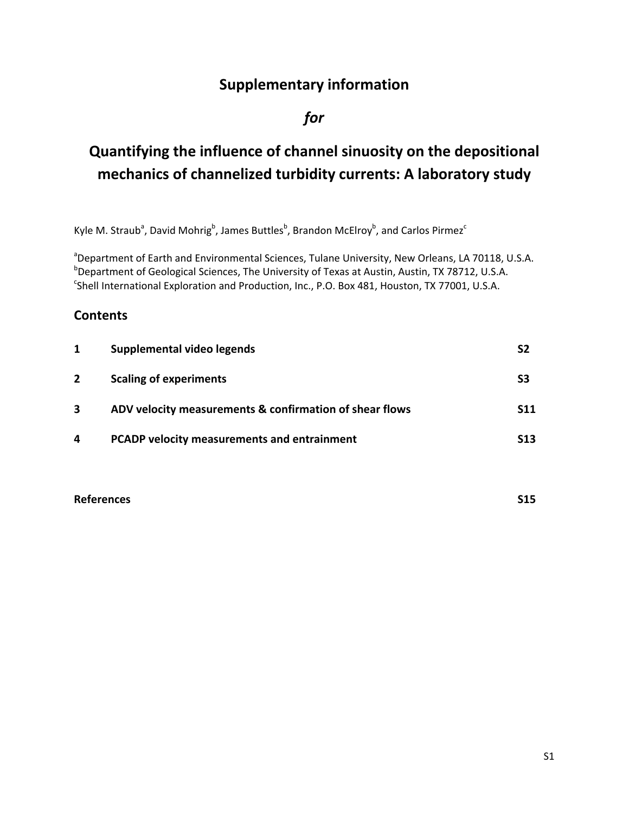# **Supplementary information**

## *for*

# **Quantifying the influence of channel sinuosity on the depositional mechanics of channelized turbidity currents: A laboratory study**

Kyle M. Straub<sup>a</sup>, David Mohrig<sup>b</sup>, James Buttles<sup>b</sup>, Brandon McElroy<sup>b</sup>, and Carlos Pirmez<sup>c</sup>

<sup>a</sup>Department of Earth and Environmental Sciences, Tulane University, New Orleans, LA 70118, U.S.A. b Department of Geological Sciences, The University of Texas at Austin, Austin, TX 78712, U.S.A. <sup>c</sup>Shell International Exploration and Production, Inc., P.O. Box 481, Houston, TX 77001, U.S.A.

## **Contents**

| 1              | Supplemental video legends                              | S2              |
|----------------|---------------------------------------------------------|-----------------|
| $\overline{2}$ | <b>Scaling of experiments</b>                           | S3              |
| 3              | ADV velocity measurements & confirmation of shear flows | <b>S11</b>      |
| 4              | PCADP velocity measurements and entrainment             | S <sub>13</sub> |

**References S15**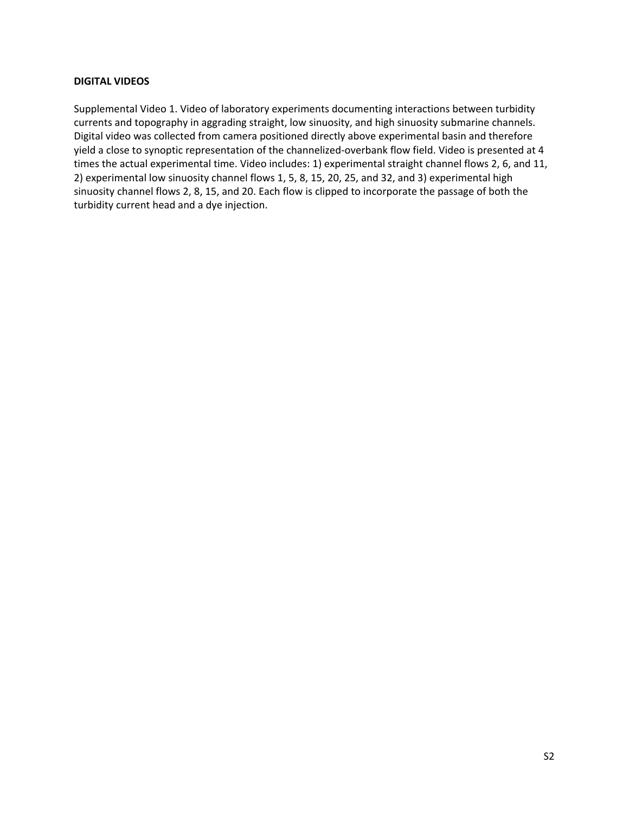## **DIGITAL VIDEOS**

Supplemental Video 1. Video of laboratory experiments documenting interactions between turbidity currents and topography in aggrading straight, low sinuosity, and high sinuosity submarine channels. Digital video was collected from camera positioned directly above experimental basin and therefore yield a close to synoptic representation of the channelized‐overbank flow field. Video is presented at 4 times the actual experimental time. Video includes: 1) experimental straight channel flows 2, 6, and 11, 2) experimental low sinuosity channel flows 1, 5, 8, 15, 20, 25, and 32, and 3) experimental high sinuosity channel flows 2, 8, 15, and 20. Each flow is clipped to incorporate the passage of both the turbidity current head and a dye injection.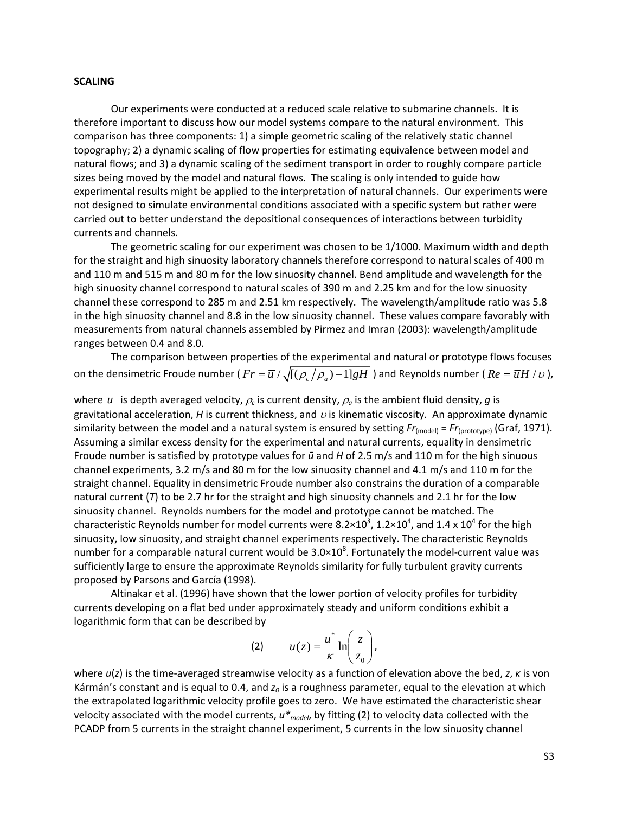#### **SCALING**

Our experiments were conducted at a reduced scale relative to submarine channels. It is therefore important to discuss how our model systems compare to the natural environment. This comparison has three components: 1) a simple geometric scaling of the relatively static channel topography; 2) a dynamic scaling of flow properties for estimating equivalence between model and natural flows; and 3) a dynamic scaling of the sediment transport in order to roughly compare particle sizes being moved by the model and natural flows. The scaling is only intended to guide how experimental results might be applied to the interpretation of natural channels. Our experiments were not designed to simulate environmental conditions associated with a specific system but rather were carried out to better understand the depositional consequences of interactions between turbidity currents and channels.

The geometric scaling for our experiment was chosen to be 1/1000. Maximum width and depth for the straight and high sinuosity laboratory channels therefore correspond to natural scales of 400 m and 110 m and 515 m and 80 m for the low sinuosity channel. Bend amplitude and wavelength for the high sinuosity channel correspond to natural scales of 390 m and 2.25 km and for the low sinuosity channel these correspond to 285 m and 2.51 km respectively. The wavelength/amplitude ratio was 5.8 in the high sinuosity channel and 8.8 in the low sinuosity channel. These values compare favorably with measurements from natural channels assembled by Pirmez and Imran (2003): wavelength/amplitude ranges between 0.4 and 8.0.

The comparison between properties of the experimental and natural or prototype flows focuses on the densimetric Froude number ( $Fr = \overline{u} / \sqrt{[(\rho_c/\rho_a) - 1]gH}$ ) and Reynolds number ( $Re = \overline{u}H/v$ ),

where  $\bar{u}$  is depth averaged velocity,  $\rho_c$  is current density,  $\rho_a$  is the ambient fluid density,  $g$  is gravitational acceleration,  $H$  is current thickness, and  $\upsilon$  is kinematic viscosity. An approximate dynamic similarity between the model and a natural system is ensured by setting  $Fr_{(model)} = Fr_{(prototype)}$  (Graf, 1971). Assuming a similar excess density for the experimental and natural currents, equality in densimetric Froude number is satisfied by prototype values for *ū* and *H* of 2.5 m/s and 110 m for the high sinuous channel experiments, 3.2 m/s and 80 m for the low sinuosity channel and 4.1 m/s and 110 m for the straight channel. Equality in densimetric Froude number also constrains the duration of a comparable natural current (*T*) to be 2.7 hr for the straight and high sinuosity channels and 2.1 hr for the low sinuosity channel. Reynolds numbers for the model and prototype cannot be matched. The characteristic Reynolds number for model currents were 8.2×10<sup>3</sup>, 1.2×10<sup>4</sup>, and 1.4 x 10<sup>4</sup> for the high sinuosity, low sinuosity, and straight channel experiments respectively. The characteristic Reynolds number for a comparable natural current would be  $3.0 \times 10^8$ . Fortunately the model-current value was sufficiently large to ensure the approximate Reynolds similarity for fully turbulent gravity currents proposed by Parsons and García (1998).

Altinakar et al. (1996) have shown that the lower portion of velocity profiles for turbidity currents developing on a flat bed under approximately steady and uniform conditions exhibit a logarithmic form that can be described by

$$
(2) \t u(z) = \frac{u^*}{\kappa} \ln\left(\frac{z}{z_0}\right),
$$

where *u*(*z*) is the time‐averaged streamwise velocity as a function of elevation above the bed, *z*, *κ* is von Kármán's constant and is equal to 0.4, and  $z_0$  is a roughness parameter, equal to the elevation at which the extrapolated logarithmic velocity profile goes to zero. We have estimated the characteristic shear velocity associated with the model currents, *u\*model*, by fitting (2) to velocity data collected with the PCADP from 5 currents in the straight channel experiment, 5 currents in the low sinuosity channel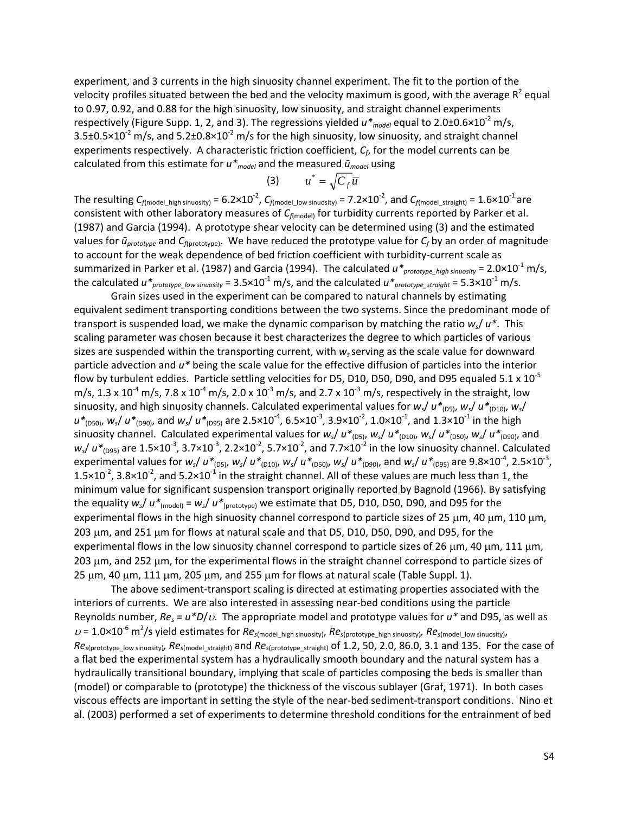experiment, and 3 currents in the high sinuosity channel experiment. The fit to the portion of the velocity profiles situated between the bed and the velocity maximum is good, with the average  $R^2$  equal to 0.97, 0.92, and 0.88 for the high sinuosity, low sinuosity, and straight channel experiments respectively (Figure Supp. 1, 2, and 3). The regressions yielded  $u^*_{model}$  equal to 2.0±0.6×10<sup>-2</sup> m/s,  $3.5\pm0.5\times10^{-2}$  m/s, and  $5.2\pm0.8\times10^{-2}$  m/s for the high sinuosity, low sinuosity, and straight channel experiments respectively. A characteristic friction coefficient, *Cf*, for the model currents can be calculated from this estimate for *u\*model* and the measured *ūmodel* using

$$
(3) \qquad u^* = \sqrt{C_f u}
$$

The resulting  $C_{f(\text{model\_high~sinuo} \text{si} \gamma)}$  =  $6.2 \times 10^{-2}$ ,  $C_{f(\text{model\_low~sinuo} \text{si} \gamma)}$  =  $7.2 \times 10^{-2}$ , and  $C_{f(\text{model\_straight})}$  =  $1.6 \times 10^{-1}$  are consistent with other laboratory measures of  $C_{f(\text{model})}$  for turbidity currents reported by Parker et al. (1987) and Garcia (1994). A prototype shear velocity can be determined using (3) and the estimated values for *ūprototype* and *Cf*(prototype). We have reduced the prototype value for *Cf* by an order of magnitude to account for the weak dependence of bed friction coefficient with turbidity‐current scale as summarized in Parker et al. (1987) and Garcia (1994). The calculated  $u^*_{proto type~high\,sinuosity} = 2.0 \times 10^{-1}$  m/s, the calculated  $u^*_{proैr$ ototype\_low sinuosity</sub> =  $3.5 \times 10^{-1}$  m/s, and the calculated  $u^*_{prostyle\_straight}$  =  $5.3 \times 10^{-1}$  m/s.

Grain sizes used in the experiment can be compared to natural channels by estimating equivalent sediment transporting conditions between the two systems. Since the predominant mode of transport is suspended load, we make the dynamic comparison by matching the ratio *ws*/ *u\**. This scaling parameter was chosen because it best characterizes the degree to which particles of various sizes are suspended within the transporting current, with *ws*serving as the scale value for downward particle advection and *u\** being the scale value for the effective diffusion of particles into the interior flow by turbulent eddies. Particle settling velocities for D5, D10, D50, D90, and D95 equaled 5.1 x  $10^{-5}$ m/s,  $1.3 \times 10^{-4}$  m/s,  $7.8 \times 10^{-4}$  m/s,  $2.0 \times 10^{-3}$  m/s, and  $2.7 \times 10^{-3}$  m/s, respectively in the straight, low sinuosity, and high sinuosity channels. Calculated experimental values for  $w_s/u^*$ <sub>(D5)</sub>,  $w_s/u^*$ <sub>(D10)</sub>,  $w_s$ / *u\**<sub>(D50)</sub>,  $w_s$ /  $u^*$ <sub>(D90)</sub>, and  $w_s$ /  $u^*$ <sub>(D95)</sub> are 2.5×10<sup>-4</sup>, 6.5×10<sup>-3</sup>, 3.9×10<sup>-2</sup>, 1.0×10<sup>-1</sup>, and 1.3×10<sup>-1</sup> in the high sinuosity channel. Calculated experimental values for  $w_s/d t_{(D5)}$ ,  $w_s/d t_{(D10)}$ ,  $w_s/d t_{(D50)}$ ,  $w_s/d t_{(D90)}$ , and  $w_s$ /  $u^*_{(D95)}$  are 1.5×10<sup>-3</sup>, 3.7×10<sup>-3</sup>, 2.2×10<sup>-2</sup>, 5.7×10<sup>-2</sup>, and 7.7×10<sup>-2</sup> in the low sinuosity channel. Calculated experimental values for  $w_s/ u *_{(D5)} w_s/ u *_{(D10)} w_s/ u *_{(D50)} w_s/ u *_{(D90)}$ , and  $w_s/ u *_{(D95)}$  are 9.8×10<sup>-4</sup>, 2.5×10<sup>-3</sup>, 1.5×10<sup>-2</sup>, 3.8×10<sup>-2</sup>, and 5.2×10<sup>-1</sup> in the straight channel. All of these values are much less than 1, the minimum value for significant suspension transport originally reported by Bagnold (1966). By satisfying the equality  $w_s / u^*_{\text{(model)}} = w_s / u^*_{\text{(prototype)}}$  we estimate that D5, D10, D50, D90, and D95 for the experimental flows in the high sinuosity channel correspond to particle sizes of 25  $\mu$ m, 40  $\mu$ m, 110  $\mu$ m,  $203 \mu m$ , and  $251 \mu m$  for flows at natural scale and that D5, D10, D50, D90, and D95, for the experimental flows in the low sinuosity channel correspond to particle sizes of 26  $\mu$ m, 40  $\mu$ m, 111  $\mu$ m, 203 µm, and 252 µm, for the experimental flows in the straight channel correspond to particle sizes of  $25 \mu m$ , 40  $\mu m$ , 111  $\mu m$ , 205  $\mu m$ , and 255  $\mu m$  for flows at natural scale (Table Suppl. 1).

The above sediment‐transport scaling is directed at estimating properties associated with the interiors of currents. We are also interested in assessing near‐bed conditions using the particle Reynolds number,  $Re_s = u^*D/v$ . The appropriate model and prototype values for  $u^*$  and D95, as well as  $U = 1.0 \times 10^{-6}$  m<sup>2</sup>/s yield estimates for  $Re_{s(\text{model\_high sinusity})}$ ,  $Re_{s(\text{prototype\_high sinusity})}$ ,  $Re_{s(\text{model\_low sinusity})}$ *Res*(prototype\_low sinuosity)*, Res*(model\_straight) and *Res*(prototype\_straight) of 1.2, 50, 2.0, 86.0, 3.1 and 135. For the case of a flat bed the experimental system has a hydraulically smooth boundary and the natural system has a hydraulically transitional boundary, implying that scale of particles composing the beds is smaller than (model) or comparable to (prototype) the thickness of the viscous sublayer (Graf, 1971). In both cases viscous effects are important in setting the style of the near‐bed sediment‐transport conditions. Nino et al. (2003) performed a set of experiments to determine threshold conditions for the entrainment of bed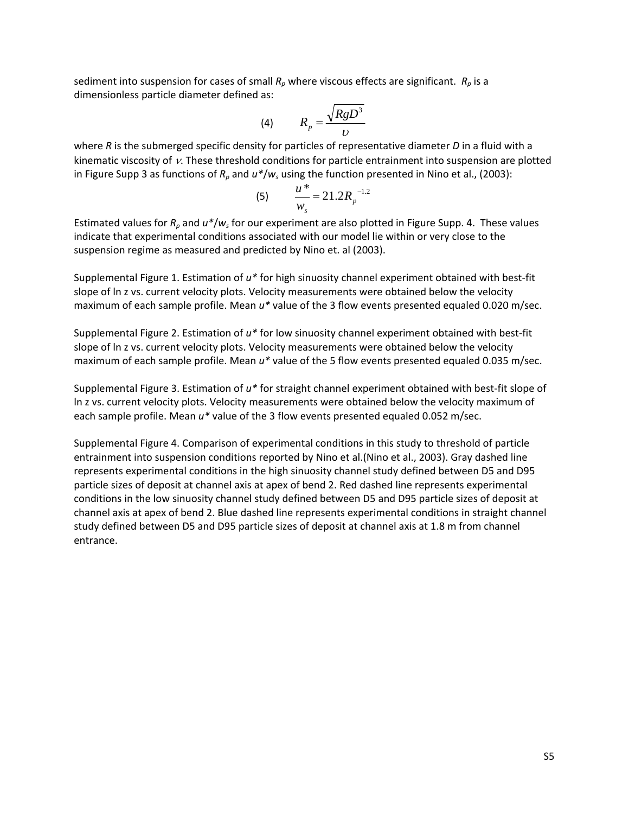sediment into suspension for cases of small  $R_p$  where viscous effects are significant.  $R_p$  is a dimensionless particle diameter defined as:

$$
(4) \hspace{1cm} R_p = \frac{\sqrt{RgD^3}}{D}
$$

where *R* is the submerged specific density for particles of representative diameter *D* in a fluid with a kinematic viscosity of  $\nu$ . These threshold conditions for particle entrainment into suspension are plotted in Figure Supp 3 as functions of *Rp* and *u\**/*ws* using the function presented in Nino et al., (2003):

(5) 
$$
\frac{u^*}{w_s} = 21.2 R_p^{-1.2}
$$

Estimated values for *Rp* and *u\**/*ws* for our experiment are also plotted in Figure Supp. 4. These values indicate that experimental conditions associated with our model lie within or very close to the suspension regime as measured and predicted by Nino et. al (2003).

Supplemental Figure 1. Estimation of *u\** for high sinuosity channel experiment obtained with best‐fit slope of ln z vs. current velocity plots. Velocity measurements were obtained below the velocity maximum of each sample profile. Mean *u\** value of the 3 flow events presented equaled 0.020 m/sec.

Supplemental Figure 2. Estimation of *u\** for low sinuosity channel experiment obtained with best‐fit slope of ln z vs. current velocity plots. Velocity measurements were obtained below the velocity maximum of each sample profile. Mean *u\** value of the 5 flow events presented equaled 0.035 m/sec.

Supplemental Figure 3. Estimation of *u\** for straight channel experiment obtained with best‐fit slope of ln z vs. current velocity plots. Velocity measurements were obtained below the velocity maximum of each sample profile. Mean *u\** value of the 3 flow events presented equaled 0.052 m/sec.

Supplemental Figure 4. Comparison of experimental conditions in this study to threshold of particle entrainment into suspension conditions reported by Nino et al.(Nino et al., 2003). Gray dashed line represents experimental conditions in the high sinuosity channel study defined between D5 and D95 particle sizes of deposit at channel axis at apex of bend 2. Red dashed line represents experimental conditions in the low sinuosity channel study defined between D5 and D95 particle sizes of deposit at channel axis at apex of bend 2. Blue dashed line represents experimental conditions in straight channel study defined between D5 and D95 particle sizes of deposit at channel axis at 1.8 m from channel entrance.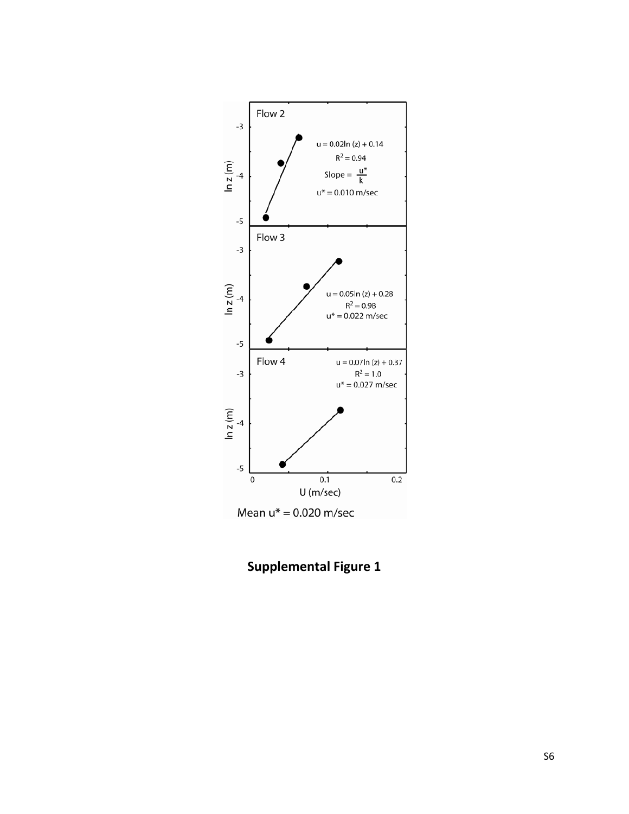

**Supplemental Figure 1**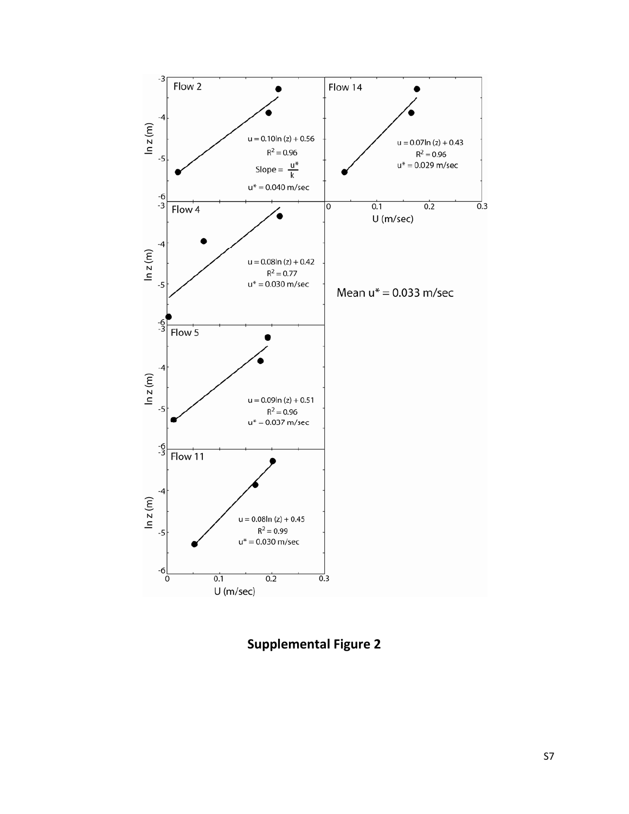

**Supplemental Figure 2**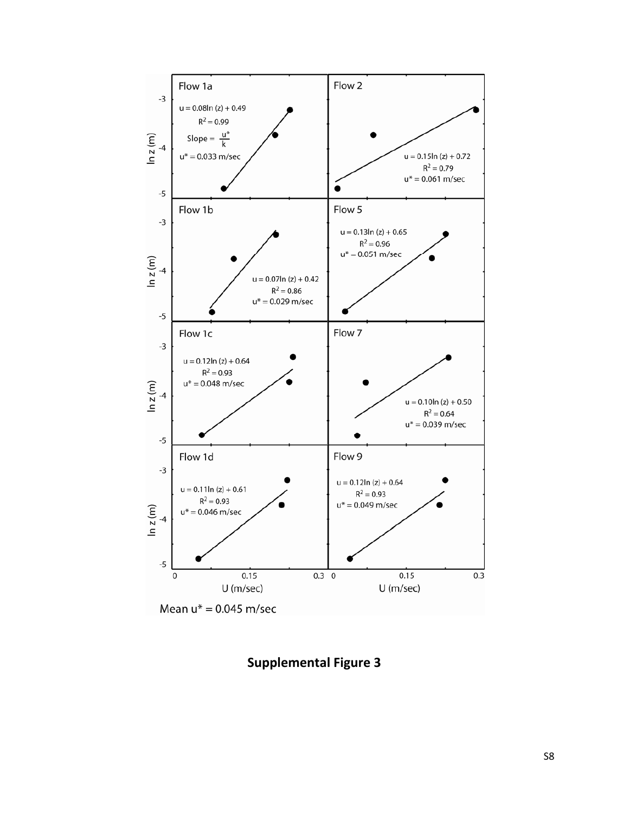

Mean  $u^* = 0.045$  m/sec

**Supplemental Figure 3**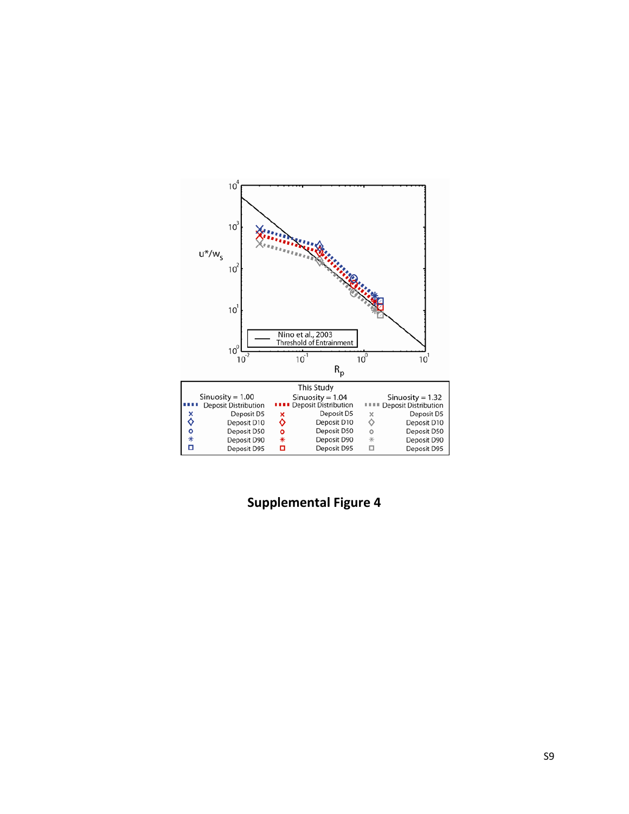

**Supplemental Figure 4**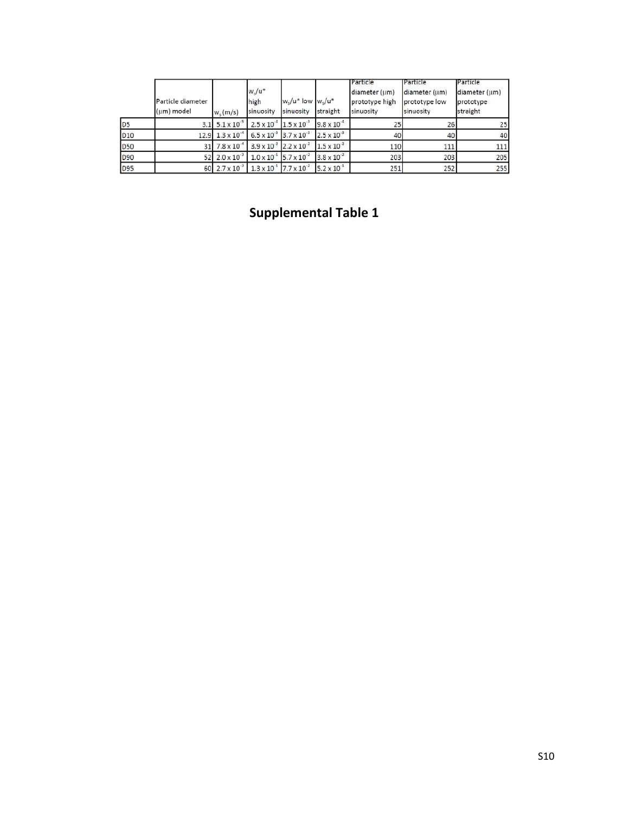|                 | Particle diameter<br>(um) model | $w_s$ (m/s)              | $w_s/u^*$<br>high<br>sinuosity            | w./u* low w./u*<br>sinuosity | straight                      | <b>IParticle</b><br>diameter (um)<br>prototype high<br>sinuosity | <b>IParticle</b><br>diameter (um)<br>prototype low<br>sinuosity | Particle<br>diameter (um)<br>prototype<br>straight |
|-----------------|---------------------------------|--------------------------|-------------------------------------------|------------------------------|-------------------------------|------------------------------------------------------------------|-----------------------------------------------------------------|----------------------------------------------------|
| D <sub>5</sub>  |                                 | 3.1 $5.1 \times 10^{-5}$ | $2.5 \times 10^{-4}$                      | $1.5 \times 10^{-3}$         | $9.8 \times 10^{-4}$          | 25                                                               | 26                                                              | 25                                                 |
| D <sub>10</sub> | 12.9                            | $1.3 \times 10^{-4}$     | $6.5 \times 10^{-3}$ 3.7 $\times 10^{-3}$ |                              | $2.5 \times 10^{-3}$          | 40                                                               | 40                                                              | 40                                                 |
| D <sub>50</sub> | 31                              | $7.8 \times 10^{-4}$     | $3.9 \times 10^{-2}$ 2.2 $\times 10^{-2}$ |                              | $1.5 \times 10^{-2}$          | 110                                                              | 111                                                             | 111                                                |
| D90             | 52                              | $2.0 \times 10^{-3}$     | $1.0 \times 10^{-1}$                      | $5.7 \times 10^{-2}$         | $3.8 \times 10^{-2}$          | 203                                                              | 203                                                             | 205                                                |
| D95             |                                 | 60 $2.7 \times 10^{-3}$  | $1.3 \times 10^{-1}$                      | $7.7 \times 10^{-2}$         | 5.2 $\times$ 10 <sup>-1</sup> | 251                                                              | 252                                                             | 255                                                |

# **Supplemental Table 1**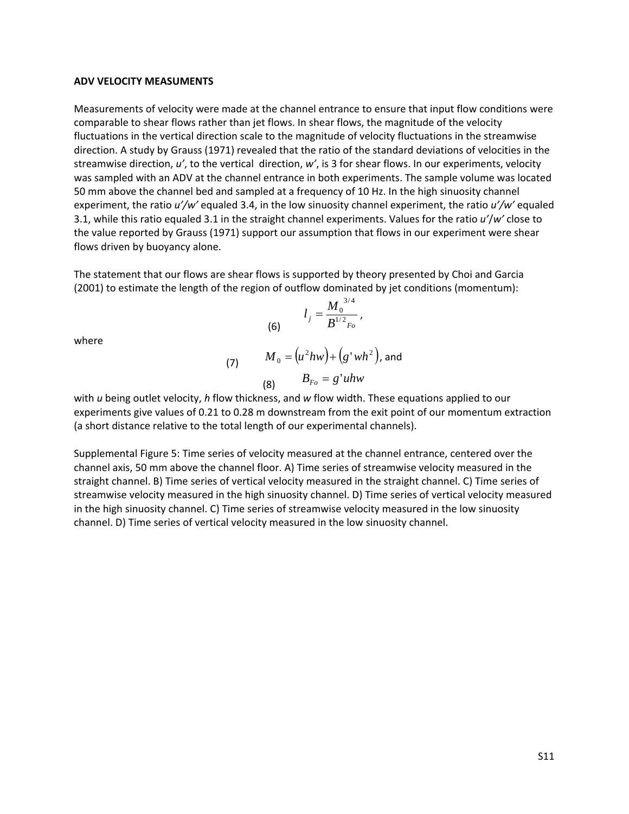#### **ADV VELOCITY MEASUMENTS**

Measurements of velocity were made at the channel entrance to ensure that input flow conditions were comparable to shear flows rather than jet flows. In shear flows, the magnitude of the velocity fluctuations in the vertical direction scale to the magnitude of velocity fluctuations in the streamwise direction. A study by Grauss (1971) revealed that the ratio of the standard deviations of velocities in the streamwise direction, *u'*, to the vertical direction, *w'*, is 3 for shear flows. In our experiments, velocity was sampled with an ADV at the channel entrance in both experiments. The sample volume was located 50 mm above the channel bed and sampled at a frequency of 10 Hz. In the high sinuosity channel experiment, the ratio *u'/w'* equaled 3.4, in the low sinuosity channel experiment, the ratio *u'/w'* equaled 3.1, while this ratio equaled 3.1 in the straight channel experiments. Values for the ratio *u'*/*w'* close to the value reported by Grauss (1971) support our assumption that flows in our experiment were shear flows driven by buoyancy alone.

The statement that our flows are shear flows is supported by theory presented by Choi and Garcia (2001) to estimate the length of the region of outflow dominated by jet conditions (momentum):

(6) 
$$
l_j = \frac{M_0^{3/4}}{B^{1/2}F_o},
$$

where

(7) 
$$
M_0 = (u^2 h w) + (g' wh^2),
$$
 and  
(8) 
$$
B_{Fo} = g' uhw
$$

with *u* being outlet velocity, *h* flow thickness, and *w* flow width. These equations applied to our experiments give values of 0.21 to 0.28 m downstream from the exit point of our momentum extraction (a short distance relative to the total length of our experimental channels).

Supplemental Figure 5: Time series of velocity measured at the channel entrance, centered over the channel axis, 50 mm above the channel floor. A) Time series of streamwise velocity measured in the straight channel. B) Time series of vertical velocity measured in the straight channel. C) Time series of streamwise velocity measured in the high sinuosity channel. D) Time series of vertical velocity measured in the high sinuosity channel. C) Time series of streamwise velocity measured in the low sinuosity channel. D) Time series of vertical velocity measured in the low sinuosity channel.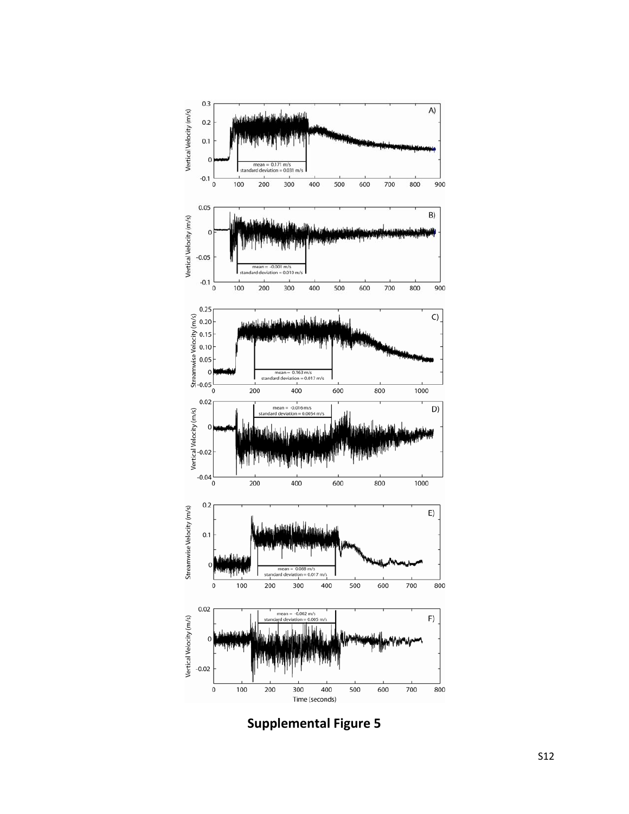

**Supplemental Figure 5**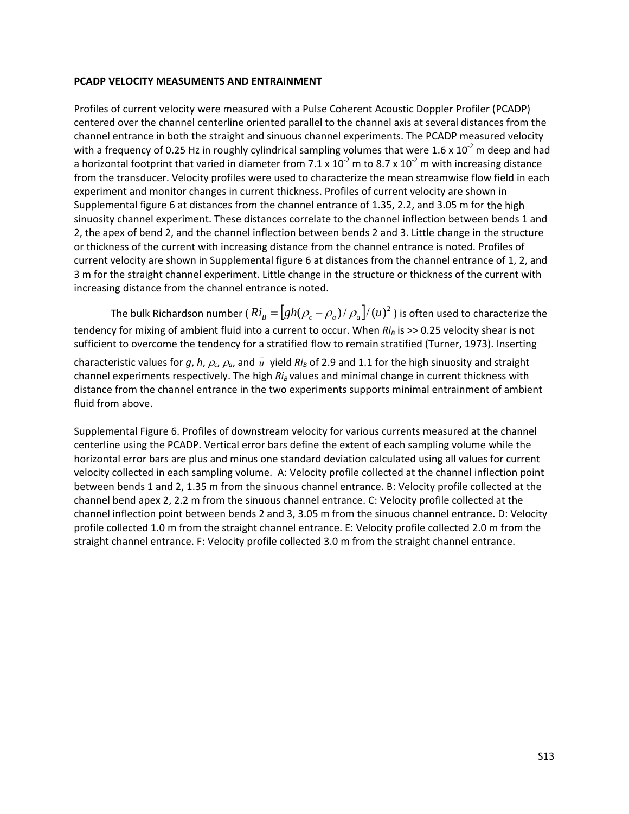### **PCADP VELOCITY MEASUMENTS AND ENTRAINMENT**

Profiles of current velocity were measured with a Pulse Coherent Acoustic Doppler Profiler (PCADP) centered over the channel centerline oriented parallel to the channel axis at several distances from the channel entrance in both the straight and sinuous channel experiments. The PCADP measured velocity with a frequency of 0.25 Hz in roughly cylindrical sampling volumes that were  $1.6 \times 10^{-2}$  m deep and had a horizontal footprint that varied in diameter from 7.1 x  $10^{-2}$  m to 8.7 x  $10^{-2}$  m with increasing distance from the transducer. Velocity profiles were used to characterize the mean streamwise flow field in each experiment and monitor changes in current thickness. Profiles of current velocity are shown in Supplemental figure 6 at distances from the channel entrance of 1.35, 2.2, and 3.05 m for the high sinuosity channel experiment. These distances correlate to the channel inflection between bends 1 and 2, the apex of bend 2, and the channel inflection between bends 2 and 3. Little change in the structure or thickness of the current with increasing distance from the channel entrance is noted. Profiles of current velocity are shown in Supplemental figure 6 at distances from the channel entrance of 1, 2, and 3 m for the straight channel experiment. Little change in the structure or thickness of the current with increasing distance from the channel entrance is noted.

The bulk Richardson number (  $Ri_B = [gh(\rho_c - \rho_a)/\rho_a]/({\overline {u}})^2$  ) is often used to characterize the tendency for mixing of ambient fluid into a current to occur. When  $Ri_B$  is >> 0.25 velocity shear is not sufficient to overcome the tendency for a stratified flow to remain stratified (Turner, 1973). Inserting

characteristic values for g, h,  $\rho_c$ ,  $\rho_a$ , and  $\bar{u}$  yield  $Ri_B$  of 2.9 and 1.1 for the high sinuosity and straight channel experiments respectively. The high *Ri<sub>B</sub>* values and minimal change in current thickness with distance from the channel entrance in the two experiments supports minimal entrainment of ambient fluid from above.

Supplemental Figure 6. Profiles of downstream velocity for various currents measured at the channel centerline using the PCADP. Vertical error bars define the extent of each sampling volume while the horizontal error bars are plus and minus one standard deviation calculated using all values for current velocity collected in each sampling volume. A: Velocity profile collected at the channel inflection point between bends 1 and 2, 1.35 m from the sinuous channel entrance. B: Velocity profile collected at the channel bend apex 2, 2.2 m from the sinuous channel entrance. C: Velocity profile collected at the channel inflection point between bends 2 and 3, 3.05 m from the sinuous channel entrance. D: Velocity profile collected 1.0 m from the straight channel entrance. E: Velocity profile collected 2.0 m from the straight channel entrance. F: Velocity profile collected 3.0 m from the straight channel entrance.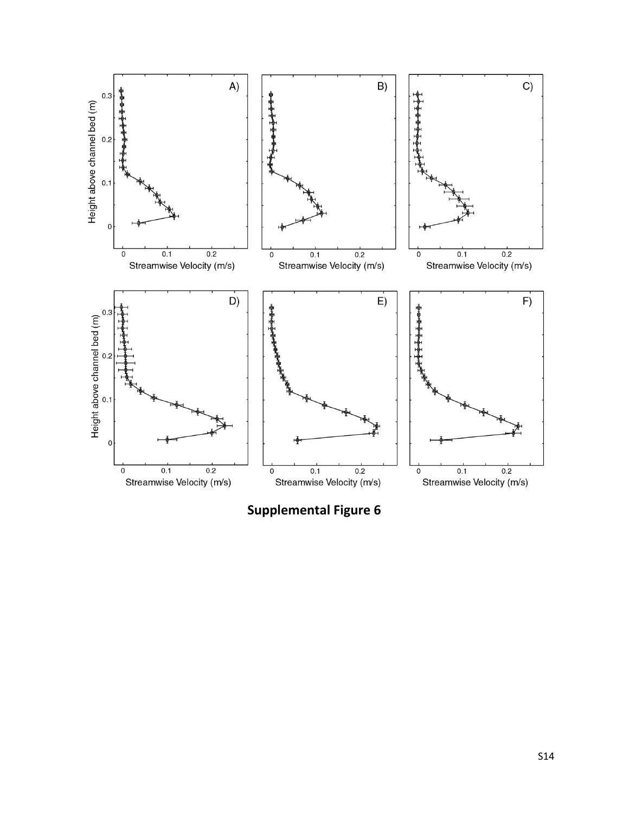

**Supplemental Figure 6**